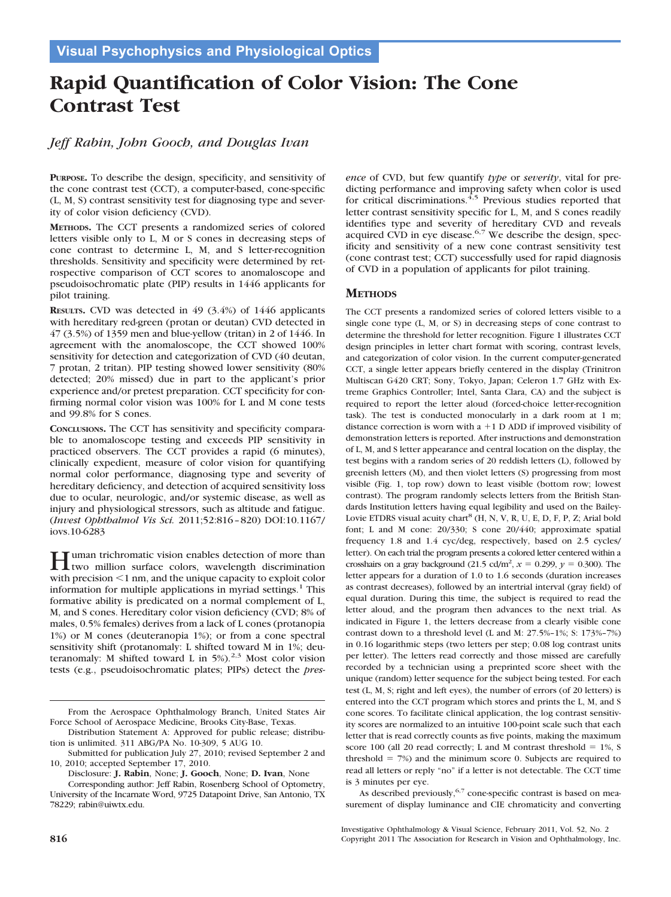# **Rapid Quantification of Color Vision: The Cone Contrast Test**

## *Jeff Rabin, John Gooch, and Douglas Ivan*

**PURPOSE.** To describe the design, specificity, and sensitivity of the cone contrast test (CCT), a computer-based, cone-specific (L, M, S) contrast sensitivity test for diagnosing type and severity of color vision deficiency (CVD).

**METHODS.** The CCT presents a randomized series of colored letters visible only to L, M or S cones in decreasing steps of cone contrast to determine L, M, and S letter-recognition thresholds. Sensitivity and specificity were determined by retrospective comparison of CCT scores to anomaloscope and pseudoisochromatic plate (PIP) results in 1446 applicants for pilot training.

**RESULTS.** CVD was detected in 49 (3.4%) of 1446 applicants with hereditary red-green (protan or deutan) CVD detected in 47 (3.5%) of 1359 men and blue-yellow (tritan) in 2 of 1446. In agreement with the anomaloscope, the CCT showed 100% sensitivity for detection and categorization of CVD (40 deutan, 7 protan, 2 tritan). PIP testing showed lower sensitivity (80% detected; 20% missed) due in part to the applicant's prior experience and/or pretest preparation. CCT specificity for confirming normal color vision was 100% for L and M cone tests and 99.8% for S cones.

**CONCLUSIONS.** The CCT has sensitivity and specificity comparable to anomaloscope testing and exceeds PIP sensitivity in practiced observers. The CCT provides a rapid (6 minutes), clinically expedient, measure of color vision for quantifying normal color performance, diagnosing type and severity of hereditary deficiency, and detection of acquired sensitivity loss due to ocular, neurologic, and/or systemic disease, as well as injury and physiological stressors, such as altitude and fatigue. (*Invest Ophthalmol Vis Sci.* 2011;52:816 – 820) DOI:10.1167/ iovs.10-6283

**H** uman trichromatic vision enables detection of more than<br>two million surface colors, wavelength discrimination with precision  $\leq 1$  nm, and the unique capacity to exploit color information for multiple applications in myriad settings.<sup>1</sup> This formative ability is predicated on a normal complement of L, M, and S cones. Hereditary color vision deficiency (CVD; 8% of males, 0.5% females) derives from a lack of L cones (protanopia 1%) or M cones (deuteranopia 1%); or from a cone spectral sensitivity shift (protanomaly: L shifted toward M in 1%; deuteranomaly: M shifted toward L in  $5\%$ ).<sup>2,3</sup> Most color vision tests (e.g., pseudoisochromatic plates; PIPs) detect the *pres-*

Disclosure: **J. Rabin**, None; **J. Gooch**, None; **D. Ivan**, None

*ence* of CVD, but few quantify *type* or *severity*, vital for predicting performance and improving safety when color is used for critical discriminations.<sup>4,5</sup> Previous studies reported that letter contrast sensitivity specific for L, M, and S cones readily identifies type and severity of hereditary CVD and reveals acquired CVD in eye disease. $6.7$  We describe the design, specificity and sensitivity of a new cone contrast sensitivity test (cone contrast test; CCT) successfully used for rapid diagnosis of CVD in a population of applicants for pilot training.

### **METHODS**

The CCT presents a randomized series of colored letters visible to a single cone type (L, M, or S) in decreasing steps of cone contrast to determine the threshold for letter recognition. Figure 1 illustrates CCT design principles in letter chart format with scoring, contrast levels, and categorization of color vision. In the current computer-generated CCT, a single letter appears briefly centered in the display (Trinitron Multiscan G420 CRT; Sony, Tokyo, Japan; Celeron 1.7 GHz with Extreme Graphics Controller; Intel, Santa Clara, CA) and the subject is required to report the letter aloud (forced-choice letter-recognition task). The test is conducted monocularly in a dark room at 1 m; distance correction is worn with  $a + 1$  D ADD if improved visibility of demonstration letters is reported. After instructions and demonstration of L, M, and S letter appearance and central location on the display, the test begins with a random series of 20 reddish letters (L), followed by greenish letters (M), and then violet letters (S) progressing from most visible (Fig. 1, top row) down to least visible (bottom row; lowest contrast). The program randomly selects letters from the British Standards Institution letters having equal legibility and used on the Bailey-Lovie ETDRS visual acuity chart<sup>8</sup> (H, N, V, R, U, E, D, F, P, Z; Arial bold font; L and M cone: 20/330; S cone 20/440; approximate spatial frequency 1.8 and 1.4 cyc/deg, respectively, based on 2.5 cycles/ letter). On each trial the program presents a colored letter centered within a crosshairs on a gray background  $(21.5 \text{ cd/m}^2, x = 0.299, y = 0.300)$ . The letter appears for a duration of 1.0 to 1.6 seconds (duration increases as contrast decreases), followed by an intertrial interval (gray field) of equal duration. During this time, the subject is required to read the letter aloud, and the program then advances to the next trial. As indicated in Figure 1, the letters decrease from a clearly visible cone contrast down to a threshold level (L and M: 27.5%–1%; S: 173%–7%) in 0.16 logarithmic steps (two letters per step; 0.08 log contrast units per letter). The letters read correctly and those missed are carefully recorded by a technician using a preprinted score sheet with the unique (random) letter sequence for the subject being tested. For each test (L, M, S; right and left eyes), the number of errors (of 20 letters) is entered into the CCT program which stores and prints the L, M, and S cone scores. To facilitate clinical application, the log contrast sensitivity scores are normalized to an intuitive 100-point scale such that each letter that is read correctly counts as five points, making the maximum score 100 (all 20 read correctly; L and M contrast threshold  $= 1\%$ , S threshold  $= 7\%$ ) and the minimum score 0. Subjects are required to read all letters or reply "no" if a letter is not detectable. The CCT time is 3 minutes per eye.

As described previously,  $6,7$  cone-specific contrast is based on measurement of display luminance and CIE chromaticity and converting

From the Aerospace Ophthalmology Branch, United States Air Force School of Aerospace Medicine, Brooks City-Base, Texas.

Distribution Statement A: Approved for public release; distribution is unlimited. 311 ABG/PA No. 10-309, 5 AUG 10.

Submitted for publication July 27, 2010; revised September 2 and 10, 2010; accepted September 17, 2010.

Corresponding author: Jeff Rabin, Rosenberg School of Optometry, University of the Incarnate Word, 9725 Datapoint Drive, San Antonio, TX 78229; rabin@uiwtx.edu.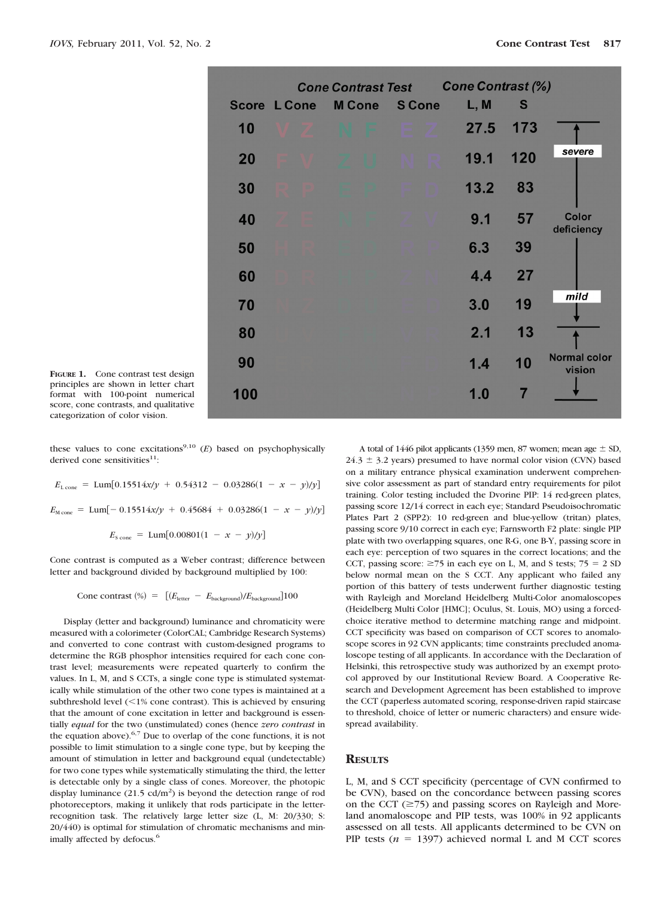|                     | <b>Cone Contrast Test</b> |  |               |  |               | <b>Cone Contrast (%)</b> |      |     |                               |
|---------------------|---------------------------|--|---------------|--|---------------|--------------------------|------|-----|-------------------------------|
| <b>Score L Cone</b> |                           |  | <b>M</b> Cone |  | <b>S Cone</b> |                          | L, M | S   |                               |
| 10                  |                           |  |               |  | m             |                          | 27.5 | 173 |                               |
| 20                  |                           |  |               |  |               |                          | 19.1 | 120 | severe                        |
| 30                  |                           |  |               |  |               |                          | 13.2 | 83  |                               |
| 40                  |                           |  |               |  |               |                          | 9.1  | 57  | <b>Color</b><br>deficiency    |
| 50                  |                           |  |               |  |               |                          | 6.3  | 39  |                               |
| 60                  |                           |  |               |  |               |                          | 4.4  | 27  |                               |
| 70                  |                           |  |               |  |               |                          | 3.0  | 19  | mild                          |
| 80                  |                           |  |               |  |               |                          | 2.1  | 13  |                               |
| 90                  |                           |  |               |  |               |                          | 1.4  | 10  | <b>Normal color</b><br>vision |
| 100                 |                           |  |               |  |               |                          | 1.0  |     |                               |
|                     |                           |  |               |  |               |                          |      |     |                               |

**FIGURE 1.** Cone contrast test design principles are shown in letter chart format with 100-point numerical score, cone contrasts, and qualitative categorization of color vision.

these values to cone excitations<sup>9,10</sup>  $(E)$  based on psychophysically derived cone sensitivities $11$ :

 $E_{\text{L cone}} = \text{Lum}[0.15514x/y + 0.54312 - 0.03286(1 - x - y)/y]$  $E_{\text{M cone}} = \text{Lum}[-0.15514x/y + 0.45684 + 0.03286(1 - x - y)/y]$  $E_{\text{S cone}} = \text{Lum}[0.00801(1 - x - y)/y]$ 

Cone contrast is computed as a Weber contrast; difference between letter and background divided by background multiplied by 100:

Cone contrast  $(\%)$  =  $[(E_{\text{letter}} - E_{\text{background}})/E_{\text{background}}]100$ 

Display (letter and background) luminance and chromaticity were measured with a colorimeter (ColorCAL; Cambridge Research Systems) and converted to cone contrast with custom-designed programs to determine the RGB phosphor intensities required for each cone contrast level; measurements were repeated quarterly to confirm the values. In L, M, and S CCTs, a single cone type is stimulated systematically while stimulation of the other two cone types is maintained at a subthreshold level  $($  < 1% cone contrast). This is achieved by ensuring that the amount of cone excitation in letter and background is essentially *equal* for the two (unstimulated) cones (hence *zero contrast* in the equation above). $6,7$  Due to overlap of the cone functions, it is not possible to limit stimulation to a single cone type, but by keeping the amount of stimulation in letter and background equal (undetectable) for two cone types while systematically stimulating the third, the letter is detectable only by a single class of cones. Moreover, the photopic display luminance  $(21.5 \text{ cd/m}^2)$  is beyond the detection range of rod photoreceptors, making it unlikely that rods participate in the letterrecognition task. The relatively large letter size (L, M: 20/330; S: 20/440) is optimal for stimulation of chromatic mechanisms and minimally affected by defocus.<sup>6</sup>

A total of 1446 pilot applicants (1359 men, 87 women; mean age  $\pm$  SD,  $24.3 \pm 3.2$  years) presumed to have normal color vision (CVN) based on a military entrance physical examination underwent comprehensive color assessment as part of standard entry requirements for pilot training. Color testing included the Dvorine PIP: 14 red-green plates, passing score 12/14 correct in each eye; Standard Pseudoisochromatic Plates Part 2 (SPP2): 10 red-green and blue-yellow (tritan) plates, passing score 9/10 correct in each eye; Farnsworth F2 plate: single PIP plate with two overlapping squares, one R-G, one B-Y, passing score in each eye: perception of two squares in the correct locations; and the CCT, passing score:  $\geq$ 75 in each eye on L, M, and S tests; 75 = 2 SD below normal mean on the S CCT. Any applicant who failed any portion of this battery of tests underwent further diagnostic testing with Rayleigh and Moreland Heidelberg Multi-Color anomaloscopes (Heidelberg Multi Color [HMC]; Oculus, St. Louis, MO) using a forcedchoice iterative method to determine matching range and midpoint. CCT specificity was based on comparison of CCT scores to anomaloscope scores in 92 CVN applicants; time constraints precluded anomaloscope testing of all applicants. In accordance with the Declaration of Helsinki, this retrospective study was authorized by an exempt protocol approved by our Institutional Review Board. A Cooperative Research and Development Agreement has been established to improve the CCT (paperless automated scoring, response-driven rapid staircase to threshold, choice of letter or numeric characters) and ensure widespread availability.

#### **RESULTS**

L, M, and S CCT specificity (percentage of CVN confirmed to be CVN), based on the concordance between passing scores on the CCT  $(\geq 75)$  and passing scores on Rayleigh and Moreland anomaloscope and PIP tests, was 100% in 92 applicants assessed on all tests. All applicants determined to be CVN on PIP tests  $(n = 1397)$  achieved normal L and M CCT scores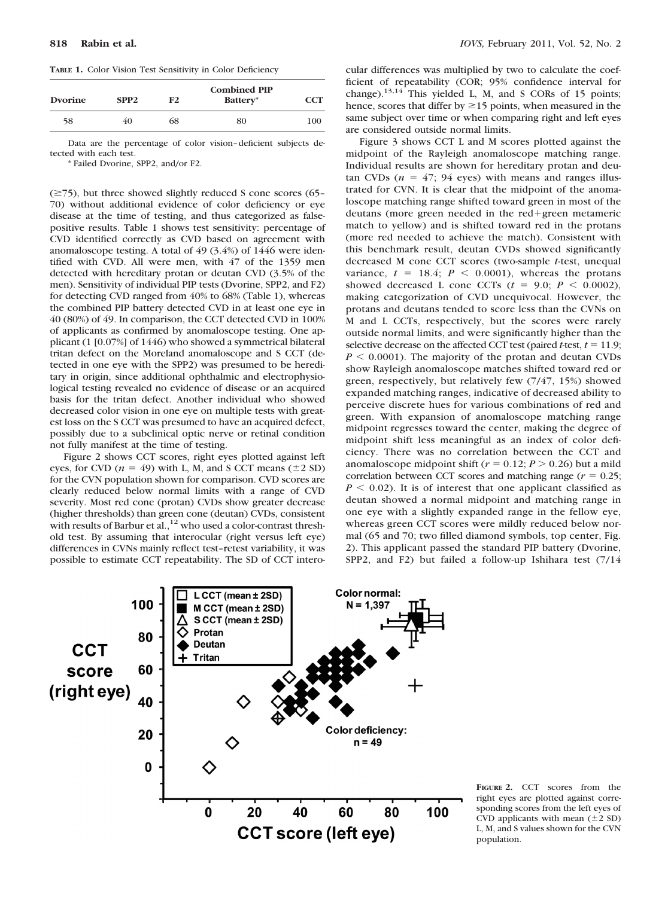**TABLE 1.** Color Vision Test Sensitivity in Color Deficiency

| <b>Dvorine</b> | SPP <sub>2</sub> | F <sub>2</sub> | <b>Combined PIP</b><br>Battery* | <b>CCT</b> |  |
|----------------|------------------|----------------|---------------------------------|------------|--|
| 58             | 40               | 68             | 80                              | 100        |  |

Data are the percentage of color vision– deficient subjects detected with each test.

\* Failed Dvorine, SPP2, and/or F2.

 $(\geq 75)$ , but three showed slightly reduced S cone scores (65– 70) without additional evidence of color deficiency or eye disease at the time of testing, and thus categorized as falsepositive results. Table 1 shows test sensitivity: percentage of CVD identified correctly as CVD based on agreement with anomaloscope testing. A total of 49 (3.4%) of 1446 were identified with CVD. All were men, with 47 of the 1359 men detected with hereditary protan or deutan CVD (3.5% of the men). Sensitivity of individual PIP tests (Dvorine, SPP2, and F2) for detecting CVD ranged from 40% to 68% (Table 1), whereas the combined PIP battery detected CVD in at least one eye in 40 (80%) of 49. In comparison, the CCT detected CVD in 100% of applicants as confirmed by anomaloscope testing. One applicant (1 [0.07%] of 1446) who showed a symmetrical bilateral tritan defect on the Moreland anomaloscope and S CCT (detected in one eye with the SPP2) was presumed to be hereditary in origin, since additional ophthalmic and electrophysiological testing revealed no evidence of disease or an acquired basis for the tritan defect. Another individual who showed decreased color vision in one eye on multiple tests with greatest loss on the S CCT was presumed to have an acquired defect, possibly due to a subclinical optic nerve or retinal condition not fully manifest at the time of testing.

Figure 2 shows CCT scores, right eyes plotted against left eyes, for CVD ( $n = 49$ ) with L, M, and S CCT means ( $\pm 2$  SD) for the CVN population shown for comparison. CVD scores are clearly reduced below normal limits with a range of CVD severity. Most red cone (protan) CVDs show greater decrease (higher thresholds) than green cone (deutan) CVDs, consistent with results of Barbur et al.,<sup>12</sup> who used a color-contrast threshold test. By assuming that interocular (right versus left eye) differences in CVNs mainly reflect test–retest variability, it was possible to estimate CCT repeatability. The SD of CCT intero-

cular differences was multiplied by two to calculate the coefficient of repeatability (COR; 95% confidence interval for change). $13,14$  This yielded L, M, and S CORs of 15 points; hence, scores that differ by  $\geq$  15 points, when measured in the same subject over time or when comparing right and left eyes are considered outside normal limits.

Figure 3 shows CCT L and M scores plotted against the midpoint of the Rayleigh anomaloscope matching range. Individual results are shown for hereditary protan and deutan CVDs ( $n = 47$ ; 94 eyes) with means and ranges illustrated for CVN. It is clear that the midpoint of the anomaloscope matching range shifted toward green in most of the deutans (more green needed in the red-green metameric match to yellow) and is shifted toward red in the protans (more red needed to achieve the match). Consistent with this benchmark result, deutan CVDs showed significantly decreased M cone CCT scores (two-sample *t*-test, unequal variance,  $t = 18.4$ ;  $P < 0.0001$ ), whereas the protans showed decreased L cone CCTs  $(t = 9.0; P < 0.0002)$ , making categorization of CVD unequivocal. However, the protans and deutans tended to score less than the CVNs on M and L CCTs, respectively, but the scores were rarely outside normal limits, and were significantly higher than the selective decrease on the affected CCT test (paired  $t$ -test,  $t = 11.9$ ;  $P \leq 0.0001$ ). The majority of the protan and deutan CVDs show Rayleigh anomaloscope matches shifted toward red or green, respectively, but relatively few (7/47, 15%) showed expanded matching ranges, indicative of decreased ability to perceive discrete hues for various combinations of red and green. With expansion of anomaloscope matching range midpoint regresses toward the center, making the degree of midpoint shift less meaningful as an index of color deficiency. There was no correlation between the CCT and anomaloscope midpoint shift ( $r = 0.12$ ;  $P > 0.26$ ) but a mild correlation between CCT scores and matching range ( $r = 0.25$ ;  $P < 0.02$ ). It is of interest that one applicant classified as deutan showed a normal midpoint and matching range in one eye with a slightly expanded range in the fellow eye, whereas green CCT scores were mildly reduced below normal (65 and 70; two filled diamond symbols, top center, Fig. 2). This applicant passed the standard PIP battery (Dvorine, SPP2, and F2) but failed a follow-up Ishihara test (7/14



**FIGURE 2.** CCT scores from the right eyes are plotted against corresponding scores from the left eyes of CVD applicants with mean  $(\pm 2 \text{ SD})$ L, M, and S values shown for the CVN population.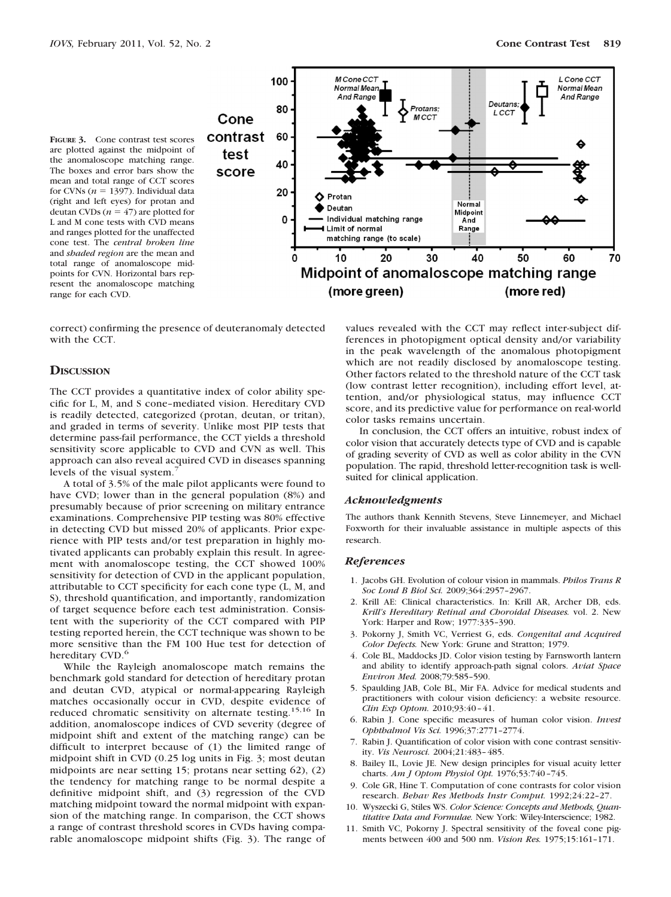**FIGURE 3.** Cone contrast test scores are plotted against the midpoint of the anomaloscope matching range. The boxes and error bars show the mean and total range of CCT scores for CVNs ( $n = 1397$ ). Individual data (right and left eyes) for protan and deutan CVDs  $(n = 47)$  are plotted for L and M cone tests with CVD means and ranges plotted for the unaffected cone test. The *central broken line* and *shaded region* are the mean and total range of anomaloscope midpoints for CVN. Horizontal bars represent the anomaloscope matching range for each CVD.



correct) confirming the presence of deuteranomaly detected with the CCT.

#### **DISCUSSION**

The CCT provides a quantitative index of color ability specific for L, M, and S cone–mediated vision. Hereditary CVD is readily detected, categorized (protan, deutan, or tritan), and graded in terms of severity. Unlike most PIP tests that determine pass-fail performance, the CCT yields a threshold sensitivity score applicable to CVD and CVN as well. This approach can also reveal acquired CVD in diseases spanning levels of the visual system.

A total of 3.5% of the male pilot applicants were found to have CVD; lower than in the general population (8%) and presumably because of prior screening on military entrance examinations. Comprehensive PIP testing was 80% effective in detecting CVD but missed 20% of applicants. Prior experience with PIP tests and/or test preparation in highly motivated applicants can probably explain this result. In agreement with anomaloscope testing, the CCT showed 100% sensitivity for detection of CVD in the applicant population, attributable to CCT specificity for each cone type (L, M, and S), threshold quantification, and importantly, randomization of target sequence before each test administration. Consistent with the superiority of the CCT compared with PIP testing reported herein, the CCT technique was shown to be more sensitive than the FM 100 Hue test for detection of hereditary CVD.<sup>6</sup>

While the Rayleigh anomaloscope match remains the benchmark gold standard for detection of hereditary protan and deutan CVD, atypical or normal-appearing Rayleigh matches occasionally occur in CVD, despite evidence of reduced chromatic sensitivity on alternate testing.15,16 In addition, anomaloscope indices of CVD severity (degree of midpoint shift and extent of the matching range) can be difficult to interpret because of (1) the limited range of midpoint shift in CVD (0.25 log units in Fig. 3; most deutan midpoints are near setting 15; protans near setting 62), (2) the tendency for matching range to be normal despite a definitive midpoint shift, and (3) regression of the CVD matching midpoint toward the normal midpoint with expansion of the matching range. In comparison, the CCT shows a range of contrast threshold scores in CVDs having comparable anomaloscope midpoint shifts (Fig. 3). The range of

values revealed with the CCT may reflect inter-subject differences in photopigment optical density and/or variability in the peak wavelength of the anomalous photopigment which are not readily disclosed by anomaloscope testing. Other factors related to the threshold nature of the CCT task (low contrast letter recognition), including effort level, attention, and/or physiological status, may influence CCT score, and its predictive value for performance on real-world color tasks remains uncertain.

In conclusion, the CCT offers an intuitive, robust index of color vision that accurately detects type of CVD and is capable of grading severity of CVD as well as color ability in the CVN population. The rapid, threshold letter-recognition task is wellsuited for clinical application.

#### *Acknowledgments*

The authors thank Kennith Stevens, Steve Linnemeyer, and Michael Foxworth for their invaluable assistance in multiple aspects of this research.

#### *References*

- 1. Jacobs GH. Evolution of colour vision in mammals. *Philos Trans R Soc Lond B Biol Sci.* 2009;364:2957–2967.
- 2. Krill AE: Clinical characteristics. In: Krill AR, Archer DB, eds. *Krill's Hereditary Retinal and Choroidal Diseases.* vol. 2. New York: Harper and Row; 1977:335–390.
- 3. Pokorny J, Smith VC, Verriest G, eds. *Congenital and Acquired Color Defects.* New York: Grune and Stratton; 1979.
- 4. Cole BL, Maddocks JD. Color vision testing by Farnsworth lantern and ability to identify approach-path signal colors. *Aviat Space Environ Med.* 2008;79:585–590.
- 5. Spaulding JAB, Cole BL, Mir FA. Advice for medical students and practitioners with colour vision deficiency: a website resource. *Clin Exp Optom.* 2010;93:40 – 41.
- 6. Rabin J. Cone specific measures of human color vision. *Invest Ophthalmol Vis Sci.* 1996;37:2771–2774.
- 7. Rabin J. Quantification of color vision with cone contrast sensitivity. *Vis Neurosci.* 2004;21:483– 485.
- 8. Bailey IL, Lovie JE. New design principles for visual acuity letter charts. *Am J Optom Physiol Opt.* 1976;53:740 –745.
- 9. Cole GR, Hine T. Computation of cone contrasts for color vision research. *Behav Res Methods Instr Comput.* 1992;24:22–27.
- 10. Wyszecki G, Stiles WS. *Color Science: Concepts and Methods, Quantitative Data and Formulae.* New York: Wiley-Interscience; 1982.
- 11. Smith VC, Pokorny J. Spectral sensitivity of the foveal cone pigments between 400 and 500 nm. *Vision Res.* 1975;15:161–171.